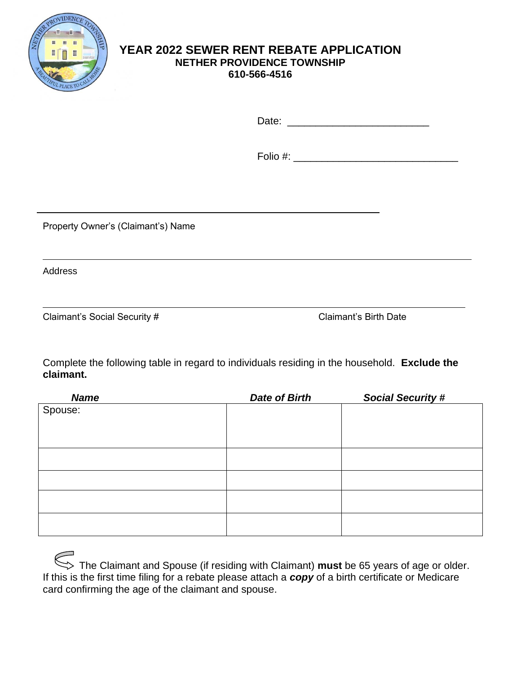

## **YEAR 2022 SEWER RENT REBATE APPLICATION NETHER PROVIDENCE TOWNSHIP 610-566-4516**

Date: \_\_\_\_\_\_\_\_\_\_\_\_\_\_\_\_\_\_\_\_\_\_\_\_\_

Folio #: \_\_\_\_\_\_\_\_\_\_\_\_\_\_\_\_\_\_\_\_\_\_\_\_\_\_\_\_\_

Property Owner's (Claimant's) Name

Address

Claimant's Social Security # Claimant's Birth Date

Complete the following table in regard to individuals residing in the household. **Exclude the claimant.**

| <b>Name</b> | <b>Date of Birth</b> | <b>Social Security #</b> |
|-------------|----------------------|--------------------------|
| Spouse:     |                      |                          |
|             |                      |                          |
|             |                      |                          |
|             |                      |                          |
|             |                      |                          |
|             |                      |                          |
|             |                      |                          |
|             |                      |                          |
|             |                      |                          |
|             |                      |                          |
|             |                      |                          |

| The Claimant and Spouse (if residing with Claimant) must be 65 years of age or older.                        |
|--------------------------------------------------------------------------------------------------------------|
| If this is the first time filing for a rebate please attach a <b>copy</b> of a birth certificate or Medicare |
| card confirming the age of the claimant and spouse.                                                          |